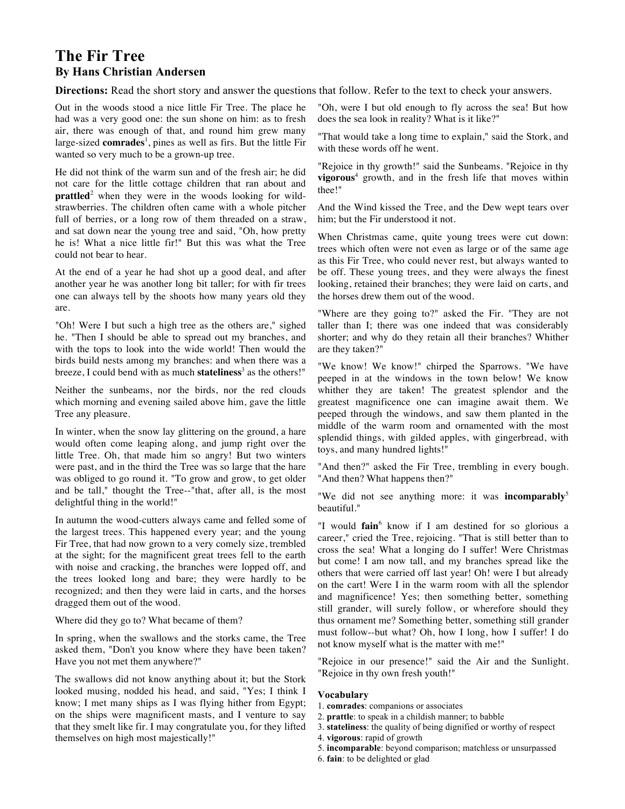## **The Fir Tree By Hans Christian Andersen**

**Directions:** Read the short story and answer the questions that follow. Refer to the text to check your answers.

Out in the woods stood a nice little Fir Tree. The place he had was a very good one: the sun shone on him: as to fresh air, there was enough of that, and round him grew many large-sized **comrades**<sup>1</sup>, pines as well as firs. But the little Fir wanted so very much to be a grown-up tree.

He did not think of the warm sun and of the fresh air; he did not care for the little cottage children that ran about and **prattled**<sup>2</sup> when they were in the woods looking for wildstrawberries. The children often came with a whole pitcher full of berries, or a long row of them threaded on a straw, and sat down near the young tree and said, "Oh, how pretty he is! What a nice little fir!" But this was what the Tree could not bear to hear.

At the end of a year he had shot up a good deal, and after another year he was another long bit taller; for with fir trees one can always tell by the shoots how many years old they are.

"Oh! Were I but such a high tree as the others are," sighed he. "Then I should be able to spread out my branches, and with the tops to look into the wide world! Then would the birds build nests among my branches: and when there was a breeze, I could bend with as much **stateliness**<sup>3</sup> as the others!"

Neither the sunbeams, nor the birds, nor the red clouds which morning and evening sailed above him, gave the little Tree any pleasure.

In winter, when the snow lay glittering on the ground, a hare would often come leaping along, and jump right over the little Tree. Oh, that made him so angry! But two winters were past, and in the third the Tree was so large that the hare was obliged to go round it. "To grow and grow, to get older and be tall," thought the Tree--"that, after all, is the most delightful thing in the world!"

In autumn the wood-cutters always came and felled some of the largest trees. This happened every year; and the young Fir Tree, that had now grown to a very comely size, trembled at the sight; for the magnificent great trees fell to the earth with noise and cracking, the branches were lopped off, and the trees looked long and bare; they were hardly to be recognized; and then they were laid in carts, and the horses dragged them out of the wood.

Where did they go to? What became of them?

In spring, when the swallows and the storks came, the Tree asked them, "Don't you know where they have been taken? Have you not met them anywhere?"

The swallows did not know anything about it; but the Stork looked musing, nodded his head, and said, "Yes; I think I know; I met many ships as I was flying hither from Egypt; on the ships were magnificent masts, and I venture to say that they smelt like fir. I may congratulate you, for they lifted themselves on high most majestically!"

"Oh, were I but old enough to fly across the sea! But how does the sea look in reality? What is it like?"

"That would take a long time to explain," said the Stork, and with these words off he went.

"Rejoice in thy growth!" said the Sunbeams. "Rejoice in thy **vigorous**<sup>4</sup> growth, and in the fresh life that moves within thee!"

And the Wind kissed the Tree, and the Dew wept tears over him; but the Fir understood it not.

When Christmas came, quite young trees were cut down: trees which often were not even as large or of the same age as this Fir Tree, who could never rest, but always wanted to be off. These young trees, and they were always the finest looking, retained their branches; they were laid on carts, and the horses drew them out of the wood.

"Where are they going to?" asked the Fir. "They are not taller than I; there was one indeed that was considerably shorter; and why do they retain all their branches? Whither are they taken?"

"We know! We know!" chirped the Sparrows. "We have peeped in at the windows in the town below! We know whither they are taken! The greatest splendor and the greatest magnificence one can imagine await them. We peeped through the windows, and saw them planted in the middle of the warm room and ornamented with the most splendid things, with gilded apples, with gingerbread, with toys, and many hundred lights!"

"And then?" asked the Fir Tree, trembling in every bough. "And then? What happens then?"

"We did not see anything more: it was **incomparably**<sup>5</sup> beautiful."

"I would **fain**<sup>6</sup> know if I am destined for so glorious a career," cried the Tree, rejoicing. "That is still better than to cross the sea! What a longing do I suffer! Were Christmas but come! I am now tall, and my branches spread like the others that were carried off last year! Oh! were I but already on the cart! Were I in the warm room with all the splendor and magnificence! Yes; then something better, something still grander, will surely follow, or wherefore should they thus ornament me? Something better, something still grander must follow--but what? Oh, how I long, how I suffer! I do not know myself what is the matter with me!"

"Rejoice in our presence!" said the Air and the Sunlight. "Rejoice in thy own fresh youth!"

## **Vocabulary**

- 1. **comrades**: companions or associates
- 2. **prattle**: to speak in a childish manner; to babble
- 3. **stateliness**: the quality of being dignified or worthy of respect
- 4. **vigorous**: rapid of growth
- 5. **incomparable**: beyond comparison; matchless or unsurpassed
- 6. **fain**: to be delighted or glad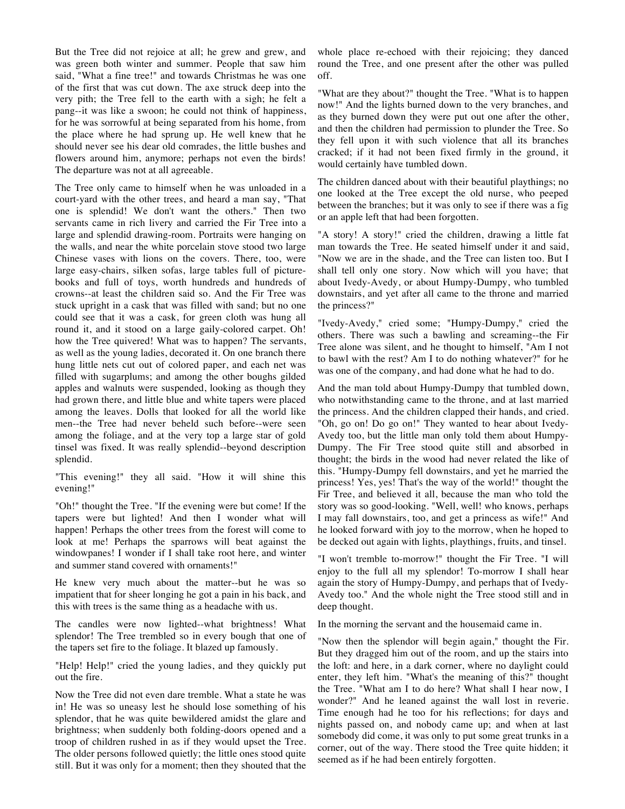But the Tree did not rejoice at all; he grew and grew, and was green both winter and summer. People that saw him said, "What a fine tree!" and towards Christmas he was one of the first that was cut down. The axe struck deep into the very pith; the Tree fell to the earth with a sigh; he felt a pang--it was like a swoon; he could not think of happiness, for he was sorrowful at being separated from his home, from the place where he had sprung up. He well knew that he should never see his dear old comrades, the little bushes and flowers around him, anymore; perhaps not even the birds! The departure was not at all agreeable.

The Tree only came to himself when he was unloaded in a court-yard with the other trees, and heard a man say, "That one is splendid! We don't want the others." Then two servants came in rich livery and carried the Fir Tree into a large and splendid drawing-room. Portraits were hanging on the walls, and near the white porcelain stove stood two large Chinese vases with lions on the covers. There, too, were large easy-chairs, silken sofas, large tables full of picturebooks and full of toys, worth hundreds and hundreds of crowns--at least the children said so. And the Fir Tree was stuck upright in a cask that was filled with sand; but no one could see that it was a cask, for green cloth was hung all round it, and it stood on a large gaily-colored carpet. Oh! how the Tree quivered! What was to happen? The servants, as well as the young ladies, decorated it. On one branch there hung little nets cut out of colored paper, and each net was filled with sugarplums; and among the other boughs gilded apples and walnuts were suspended, looking as though they had grown there, and little blue and white tapers were placed among the leaves. Dolls that looked for all the world like men--the Tree had never beheld such before--were seen among the foliage, and at the very top a large star of gold tinsel was fixed. It was really splendid--beyond description splendid.

"This evening!" they all said. "How it will shine this evening!"

"Oh!" thought the Tree. "If the evening were but come! If the tapers were but lighted! And then I wonder what will happen! Perhaps the other trees from the forest will come to look at me! Perhaps the sparrows will beat against the windowpanes! I wonder if I shall take root here, and winter and summer stand covered with ornaments!"

He knew very much about the matter--but he was so impatient that for sheer longing he got a pain in his back, and this with trees is the same thing as a headache with us.

The candles were now lighted--what brightness! What splendor! The Tree trembled so in every bough that one of the tapers set fire to the foliage. It blazed up famously.

"Help! Help!" cried the young ladies, and they quickly put out the fire.

Now the Tree did not even dare tremble. What a state he was in! He was so uneasy lest he should lose something of his splendor, that he was quite bewildered amidst the glare and brightness; when suddenly both folding-doors opened and a troop of children rushed in as if they would upset the Tree. The older persons followed quietly; the little ones stood quite still. But it was only for a moment; then they shouted that the

whole place re-echoed with their rejoicing; they danced round the Tree, and one present after the other was pulled off.

"What are they about?" thought the Tree. "What is to happen now!" And the lights burned down to the very branches, and as they burned down they were put out one after the other, and then the children had permission to plunder the Tree. So they fell upon it with such violence that all its branches cracked; if it had not been fixed firmly in the ground, it would certainly have tumbled down.

The children danced about with their beautiful playthings; no one looked at the Tree except the old nurse, who peeped between the branches; but it was only to see if there was a fig or an apple left that had been forgotten.

"A story! A story!" cried the children, drawing a little fat man towards the Tree. He seated himself under it and said, "Now we are in the shade, and the Tree can listen too. But I shall tell only one story. Now which will you have; that about Ivedy-Avedy, or about Humpy-Dumpy, who tumbled downstairs, and yet after all came to the throne and married the princess?"

"Ivedy-Avedy," cried some; "Humpy-Dumpy," cried the others. There was such a bawling and screaming--the Fir Tree alone was silent, and he thought to himself, "Am I not to bawl with the rest? Am I to do nothing whatever?" for he was one of the company, and had done what he had to do.

And the man told about Humpy-Dumpy that tumbled down, who notwithstanding came to the throne, and at last married the princess. And the children clapped their hands, and cried. "Oh, go on! Do go on!" They wanted to hear about Ivedy-Avedy too, but the little man only told them about Humpy-Dumpy. The Fir Tree stood quite still and absorbed in thought; the birds in the wood had never related the like of this. "Humpy-Dumpy fell downstairs, and yet he married the princess! Yes, yes! That's the way of the world!" thought the Fir Tree, and believed it all, because the man who told the story was so good-looking. "Well, well! who knows, perhaps I may fall downstairs, too, and get a princess as wife!" And he looked forward with joy to the morrow, when he hoped to be decked out again with lights, playthings, fruits, and tinsel.

"I won't tremble to-morrow!" thought the Fir Tree. "I will enjoy to the full all my splendor! To-morrow I shall hear again the story of Humpy-Dumpy, and perhaps that of Ivedy-Avedy too." And the whole night the Tree stood still and in deep thought.

In the morning the servant and the housemaid came in.

"Now then the splendor will begin again," thought the Fir. But they dragged him out of the room, and up the stairs into the loft: and here, in a dark corner, where no daylight could enter, they left him. "What's the meaning of this?" thought the Tree. "What am I to do here? What shall I hear now, I wonder?" And he leaned against the wall lost in reverie. Time enough had he too for his reflections; for days and nights passed on, and nobody came up; and when at last somebody did come, it was only to put some great trunks in a corner, out of the way. There stood the Tree quite hidden; it seemed as if he had been entirely forgotten.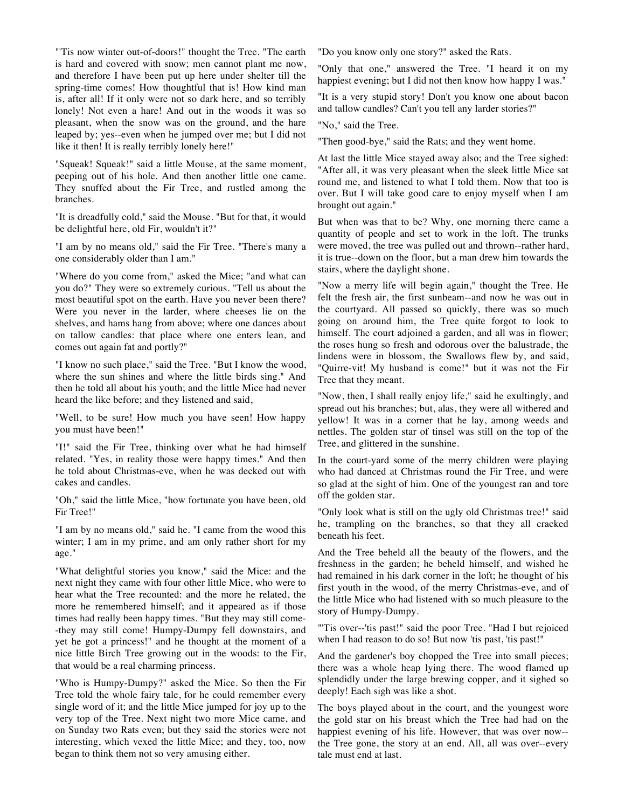"'Tis now winter out-of-doors!" thought the Tree. "The earth is hard and covered with snow; men cannot plant me now, and therefore I have been put up here under shelter till the spring-time comes! How thoughtful that is! How kind man is, after all! If it only were not so dark here, and so terribly lonely! Not even a hare! And out in the woods it was so pleasant, when the snow was on the ground, and the hare leaped by; yes--even when he jumped over me; but I did not like it then! It is really terribly lonely here!"

"Squeak! Squeak!" said a little Mouse, at the same moment, peeping out of his hole. And then another little one came. They snuffed about the Fir Tree, and rustled among the branches.

"It is dreadfully cold," said the Mouse. "But for that, it would be delightful here, old Fir, wouldn't it?"

"I am by no means old," said the Fir Tree. "There's many a one considerably older than I am."

"Where do you come from," asked the Mice; "and what can you do?" They were so extremely curious. "Tell us about the most beautiful spot on the earth. Have you never been there? Were you never in the larder, where cheeses lie on the shelves, and hams hang from above; where one dances about on tallow candles: that place where one enters lean, and comes out again fat and portly?"

"I know no such place," said the Tree. "But I know the wood, where the sun shines and where the little birds sing." And then he told all about his youth; and the little Mice had never heard the like before; and they listened and said,

"Well, to be sure! How much you have seen! How happy you must have been!"

"I!" said the Fir Tree, thinking over what he had himself related. "Yes, in reality those were happy times." And then he told about Christmas-eve, when he was decked out with cakes and candles.

"Oh," said the little Mice, "how fortunate you have been, old Fir Tree!"

"I am by no means old," said he. "I came from the wood this winter; I am in my prime, and am only rather short for my age."

"What delightful stories you know," said the Mice: and the next night they came with four other little Mice, who were to hear what the Tree recounted: and the more he related, the more he remembered himself; and it appeared as if those times had really been happy times. "But they may still come- -they may still come! Humpy-Dumpy fell downstairs, and yet he got a princess!" and he thought at the moment of a nice little Birch Tree growing out in the woods: to the Fir, that would be a real charming princess.

"Who is Humpy-Dumpy?" asked the Mice. So then the Fir Tree told the whole fairy tale, for he could remember every single word of it; and the little Mice jumped for joy up to the very top of the Tree. Next night two more Mice came, and on Sunday two Rats even; but they said the stories were not interesting, which vexed the little Mice; and they, too, now began to think them not so very amusing either.

"Do you know only one story?" asked the Rats.

"Only that one," answered the Tree. "I heard it on my happiest evening; but I did not then know how happy I was."

"It is a very stupid story! Don't you know one about bacon and tallow candles? Can't you tell any larder stories?"

"No," said the Tree.

"Then good-bye," said the Rats; and they went home.

At last the little Mice stayed away also; and the Tree sighed: "After all, it was very pleasant when the sleek little Mice sat round me, and listened to what I told them. Now that too is over. But I will take good care to enjoy myself when I am brought out again."

But when was that to be? Why, one morning there came a quantity of people and set to work in the loft. The trunks were moved, the tree was pulled out and thrown--rather hard, it is true--down on the floor, but a man drew him towards the stairs, where the daylight shone.

"Now a merry life will begin again," thought the Tree. He felt the fresh air, the first sunbeam--and now he was out in the courtyard. All passed so quickly, there was so much going on around him, the Tree quite forgot to look to himself. The court adjoined a garden, and all was in flower; the roses hung so fresh and odorous over the balustrade, the lindens were in blossom, the Swallows flew by, and said, "Quirre-vit! My husband is come!" but it was not the Fir Tree that they meant.

"Now, then, I shall really enjoy life," said he exultingly, and spread out his branches; but, alas, they were all withered and yellow! It was in a corner that he lay, among weeds and nettles. The golden star of tinsel was still on the top of the Tree, and glittered in the sunshine.

In the court-yard some of the merry children were playing who had danced at Christmas round the Fir Tree, and were so glad at the sight of him. One of the youngest ran and tore off the golden star.

"Only look what is still on the ugly old Christmas tree!" said he, trampling on the branches, so that they all cracked beneath his feet.

And the Tree beheld all the beauty of the flowers, and the freshness in the garden; he beheld himself, and wished he had remained in his dark corner in the loft; he thought of his first youth in the wood, of the merry Christmas-eve, and of the little Mice who had listened with so much pleasure to the story of Humpy-Dumpy.

"'Tis over--'tis past!" said the poor Tree. "Had I but rejoiced when I had reason to do so! But now 'tis past, 'tis past!"

And the gardener's boy chopped the Tree into small pieces; there was a whole heap lying there. The wood flamed up splendidly under the large brewing copper, and it sighed so deeply! Each sigh was like a shot.

The boys played about in the court, and the youngest wore the gold star on his breast which the Tree had had on the happiest evening of his life. However, that was over now- the Tree gone, the story at an end. All, all was over--every tale must end at last.